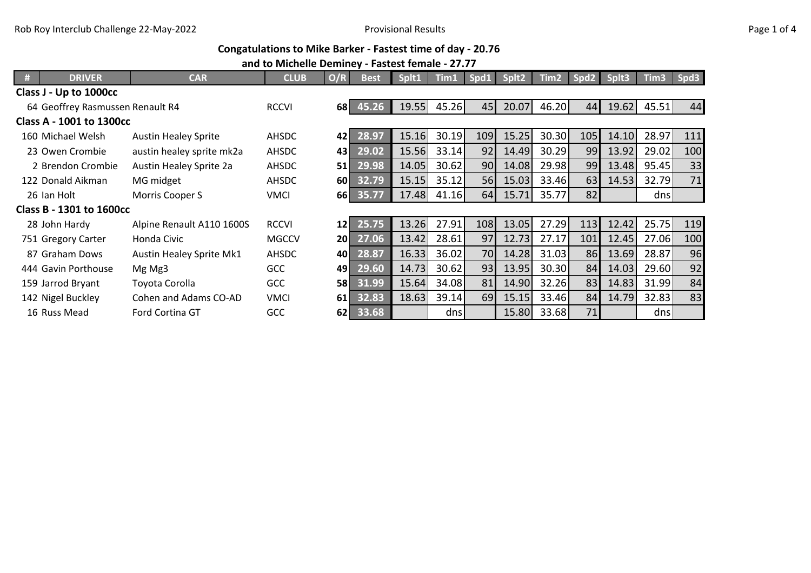## **Congatulations to Mike Barker - Fastest time of day - 20.76**

## **and to Michelle Deminey - Fastest female - 27.77**

|                                  | <b>DRIVER</b>            | <b>CAR</b>                  | <b>CLUB</b>  | O/R             | <b>Best</b>        | Splt1 | Tim1  | Spd1 | Splt2 | Tim <sub>2</sub> | Spd2 | Splt3 | Tim <sub>3</sub> | Spd3 |
|----------------------------------|--------------------------|-----------------------------|--------------|-----------------|--------------------|-------|-------|------|-------|------------------|------|-------|------------------|------|
| Class J - Up to 1000cc           |                          |                             |              |                 |                    |       |       |      |       |                  |      |       |                  |      |
| 64 Geoffrey Rasmussen Renault R4 |                          |                             | <b>RCCVI</b> |                 | 68 45.26           | 19.55 | 45.26 | 45   | 20.07 | 46.20            | 44   | 19.62 | 45.51            | 44   |
|                                  | Class A - 1001 to 1300cc |                             |              |                 |                    |       |       |      |       |                  |      |       |                  |      |
|                                  | 160 Michael Welsh        | <b>Austin Healey Sprite</b> | AHSDC        | 42              | 28.97              | 15.16 | 30.19 | 109  | 15.25 | 30.30            | 105  | 14.10 | 28.97            | 111  |
|                                  | 23 Owen Crombie          | austin healey sprite mk2a   | AHSDC        | 43              | $\overline{29.02}$ | 15.56 | 33.14 | 92   | 14.49 | 30.29            | 99   | 13.92 | 29.02            | 100  |
|                                  | 2 Brendon Crombie        | Austin Healey Sprite 2a     | AHSDC        | 51              | 29.98              | 14.05 | 30.62 | 90   | 14.08 | 29.98            | 99   | 13.48 | 95.45            | 33   |
|                                  | 122 Donald Aikman        | MG midget                   | AHSDC        | 60 L            | 32.79              | 15.15 | 35.12 | 56   | 15.03 | 33.46            | 63   | 14.53 | 32.79            | 71   |
|                                  | 26 Ian Holt              | Morris Cooper S             | <b>VMCI</b>  |                 | 66 35.77           | 17.48 | 41.16 | 64   | 15.71 | 35.77            | 82   |       | dnsl             |      |
| Class B - 1301 to 1600cc         |                          |                             |              |                 |                    |       |       |      |       |                  |      |       |                  |      |
|                                  | 28 John Hardy            | Alpine Renault A110 1600S   | <b>RCCVI</b> | 12              | 25.75              | 13.26 | 27.91 | 108  | 13.05 | 27.29            | 113  | 12.42 | 25.75            | 119  |
|                                  | 751 Gregory Carter       | Honda Civic                 | <b>MGCCV</b> | 20 <sup>1</sup> | 27.06              | 13.42 | 28.61 | 97   | 12.73 | 27.17            | 101  | 12.45 | 27.06            | 100  |
|                                  | 87 Graham Dows           | Austin Healey Sprite Mk1    | <b>AHSDC</b> | 40              | 28.87              | 16.33 | 36.02 | 70   | 14.28 | 31.03            | 86   | 13.69 | 28.87            | 96   |
|                                  | 444 Gavin Porthouse      | Mg Mg3                      | GCC          | 49              | 29.60              | 14.73 | 30.62 | 93   | 13.95 | 30.30            | 84   | 14.03 | 29.60            | 92   |
|                                  | 159 Jarrod Bryant        | Toyota Corolla              | GCC          | 58              | 31.99              | 15.64 | 34.08 | 81   | 14.90 | 32.26            | 83   | 14.83 | 31.99            | 84   |
|                                  | 142 Nigel Buckley        | Cohen and Adams CO-AD       | <b>VMCI</b>  | <b>61</b>       | 32.83              | 18.63 | 39.14 | 69   | 15.15 | 33.46            | 84   | 14.79 | 32.83            | 83   |
|                                  | 16 Russ Mead             | Ford Cortina GT             | GCC          |                 | 62 33.68           |       | dnsl  |      | 15.80 | 33.68            | 71   |       | dnsl             |      |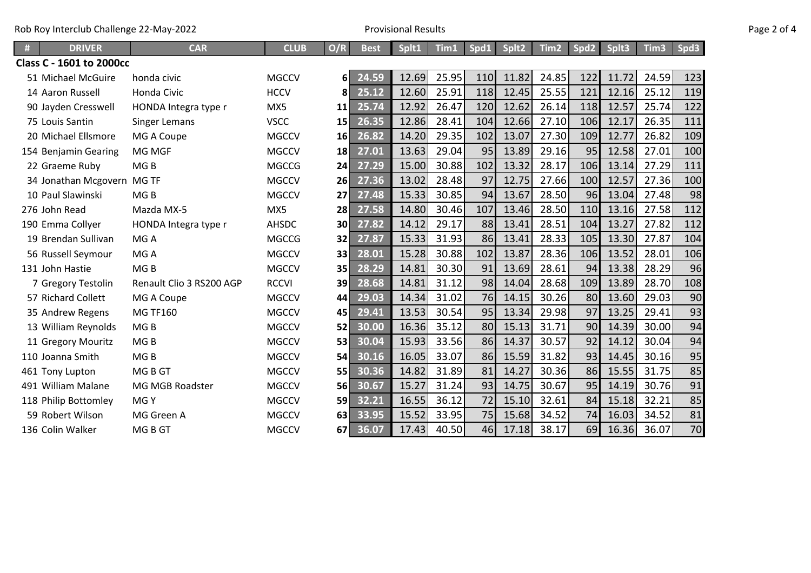| Rob Roy Interclub Challenge 22-May-2022 | <b>Provisional Results</b> | Page 2 of 4 |
|-----------------------------------------|----------------------------|-------------|
|-----------------------------------------|----------------------------|-------------|

| Page 2 of 4 |  |  |
|-------------|--|--|
|             |  |  |

| <b>DRIVER</b>              | <b>CAR</b>               | <b>CLUB</b>  | O/R       | <b>Best</b> | Splt1 | Tim1  | Spd1 | Splt2 | Tim2  | Spd2 | Splt3 | Tim <sub>3</sub> | Spd3 |
|----------------------------|--------------------------|--------------|-----------|-------------|-------|-------|------|-------|-------|------|-------|------------------|------|
| Class C - 1601 to 2000cc   |                          |              |           |             |       |       |      |       |       |      |       |                  |      |
| 51 Michael McGuire         | honda civic              | <b>MGCCV</b> | 61        | 24.59       | 12.69 | 25.95 | 110  | 11.82 | 24.85 | 122  | 11.72 | 24.59            | 123  |
| 14 Aaron Russell           | Honda Civic              | <b>HCCV</b>  | 81        | 25.12       | 12.60 | 25.91 | 118  | 12.45 | 25.55 | 121  | 12.16 | 25.12            | 119  |
| 90 Jayden Cresswell        | HONDA Integra type r     | MX5          | 11        | 25.74       | 12.92 | 26.47 | 120  | 12.62 | 26.14 | 118  | 12.57 | 25.74            | 122  |
| 75 Louis Santin            | <b>Singer Lemans</b>     | <b>VSCC</b>  | 15        | 26.35       | 12.86 | 28.41 | 104  | 12.66 | 27.10 | 106  | 12.17 | 26.35            | 111  |
| 20 Michael Ellsmore        | MG A Coupe               | <b>MGCCV</b> | 16        | 26.82       | 14.20 | 29.35 | 102  | 13.07 | 27.30 | 109  | 12.77 | 26.82            | 109  |
| 154 Benjamin Gearing       | MG MGF                   | <b>MGCCV</b> | 18        | 27.01       | 13.63 | 29.04 | 95   | 13.89 | 29.16 | 95   | 12.58 | 27.01            | 100  |
| 22 Graeme Ruby             | MG <sub>B</sub>          | <b>MGCCG</b> | 24        | 27.29       | 15.00 | 30.88 | 102  | 13.32 | 28.17 | 106  | 13.14 | 27.29            | 111  |
| 34 Jonathan Mcgovern MG TF |                          | <b>MGCCV</b> | 26        | 27.36       | 13.02 | 28.48 | 97   | 12.75 | 27.66 | 100  | 12.57 | 27.36            | 100  |
| 10 Paul Slawinski          | MG <sub>B</sub>          | <b>MGCCV</b> | 27        | 27.48       | 15.33 | 30.85 | 94   | 13.67 | 28.50 | 96   | 13.04 | 27.48            | 98   |
| 276 John Read              | Mazda MX-5               | MX5          | 28        | 27.58       | 14.80 | 30.46 | 107  | 13.46 | 28.50 | 110  | 13.16 | 27.58            | 112  |
| 190 Emma Collyer           | HONDA Integra type r     | <b>AHSDC</b> | <b>30</b> | 27.82       | 14.12 | 29.17 | 88   | 13.41 | 28.51 | 104  | 13.27 | 27.82            | 112  |
| 19 Brendan Sullivan        | MG A                     | <b>MGCCG</b> | 32        | 27.87       | 15.33 | 31.93 | 86   | 13.41 | 28.33 | 105  | 13.30 | 27.87            | 104  |
| 56 Russell Seymour         | MG A                     | <b>MGCCV</b> | 33        | 28.01       | 15.28 | 30.88 | 102  | 13.87 | 28.36 | 106  | 13.52 | 28.01            | 106  |
| 131 John Hastie            | MG <sub>B</sub>          | <b>MGCCV</b> | 35        | 28.29       | 14.81 | 30.30 | 91   | 13.69 | 28.61 | 94   | 13.38 | 28.29            | 96   |
| 7 Gregory Testolin         | Renault Clio 3 RS200 AGP | <b>RCCVI</b> | 39        | 28.68       | 14.81 | 31.12 | 98   | 14.04 | 28.68 | 109  | 13.89 | 28.70            | 108  |
| 57 Richard Collett         | MG A Coupe               | <b>MGCCV</b> | 44        | 29.03       | 14.34 | 31.02 | 76   | 14.15 | 30.26 | 80   | 13.60 | 29.03            | 90   |
| 35 Andrew Regens           | <b>MG TF160</b>          | <b>MGCCV</b> | 45        | 29.41       | 13.53 | 30.54 | 95   | 13.34 | 29.98 | 97   | 13.25 | 29.41            | 93   |
| 13 William Reynolds        | MG <sub>B</sub>          | <b>MGCCV</b> | 52        | 30.00       | 16.36 | 35.12 | 80   | 15.13 | 31.71 | 90   | 14.39 | 30.00            | 94   |
| 11 Gregory Mouritz         | MG <sub>B</sub>          | <b>MGCCV</b> | 53        | 30.04       | 15.93 | 33.56 | 86   | 14.37 | 30.57 | 92   | 14.12 | 30.04            | 94   |
| 110 Joanna Smith           | MG <sub>B</sub>          | <b>MGCCV</b> | 54        | 30.16       | 16.05 | 33.07 | 86   | 15.59 | 31.82 | 93   | 14.45 | 30.16            | 95   |
| 461 Tony Lupton            | MG B GT                  | <b>MGCCV</b> | 55        | 30.36       | 14.82 | 31.89 | 81   | 14.27 | 30.36 | 86   | 15.55 | 31.75            | 85   |
| 491 William Malane         | MG MGB Roadster          | <b>MGCCV</b> | 56        | 30.67       | 15.27 | 31.24 | 93   | 14.75 | 30.67 | 95   | 14.19 | 30.76            | 91   |
| 118 Philip Bottomley       | MGY                      | <b>MGCCV</b> | 59        | 32.21       | 16.55 | 36.12 | 72   | 15.10 | 32.61 | 84   | 15.18 | 32.21            | 85   |
| 59 Robert Wilson           | MG Green A               | <b>MGCCV</b> | 63        | 33.95       | 15.52 | 33.95 | 75   | 15.68 | 34.52 | 74   | 16.03 | 34.52            | 81   |
| 136 Colin Walker           | MG B GT                  | <b>MGCCV</b> | 67I       | 36.07       | 17.43 | 40.50 | 46   | 17.18 | 38.17 | 69   | 16.36 | 36.07            | 70   |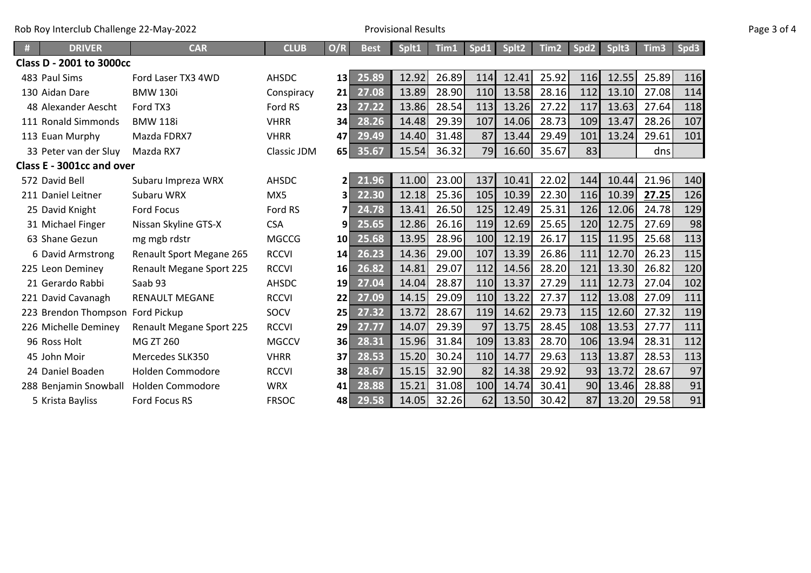| Rob Roy Interclub Challenge 22-May-2022<br>$\mathcal{L}$ and $\mathcal{L}$ and $\mathcal{L}$ and $\mathcal{L}$ and $\mathcal{L}$ and $\mathcal{L}$ and $\mathcal{L}$ and $\mathcal{L}$ and $\mathcal{L}$ and $\mathcal{L}$ and $\mathcal{L}$ and $\mathcal{L}$ and $\mathcal{L}$ and $\mathcal{L}$ and $\mathcal{L}$ and $\mathcal{L}$ and $\mathcal{L}$ and | <b>Provisional Results</b> | Page 3 of 4 |
|--------------------------------------------------------------------------------------------------------------------------------------------------------------------------------------------------------------------------------------------------------------------------------------------------------------------------------------------------------------|----------------------------|-------------|
|--------------------------------------------------------------------------------------------------------------------------------------------------------------------------------------------------------------------------------------------------------------------------------------------------------------------------------------------------------------|----------------------------|-------------|

|  | Page 3 of 4 |  |  |  |
|--|-------------|--|--|--|
|--|-------------|--|--|--|

| <b>DRIVER</b>                   | <b>CAR</b>                      | <b>CLUB</b>  | O/R             | <b>Best</b>        | Splt1 | Tim1  | Spd1 | Splt2 | Tim2  | Spd <sub>2</sub> | Splt3 | Tim3  | Spd3 |
|---------------------------------|---------------------------------|--------------|-----------------|--------------------|-------|-------|------|-------|-------|------------------|-------|-------|------|
| <b>Class D - 2001 to 3000cc</b> |                                 |              |                 |                    |       |       |      |       |       |                  |       |       |      |
| 483 Paul Sims                   | Ford Laser TX3 4WD              | <b>AHSDC</b> | 13              | 25.89              | 12.92 | 26.89 | 114  | 12.41 | 25.92 | 116              | 12.55 | 25.89 | 116  |
| 130 Aidan Dare                  | <b>BMW 130i</b>                 | Conspiracy   | 21              | 27.08              | 13.89 | 28.90 | 110  | 13.58 | 28.16 | 112              | 13.10 | 27.08 | 114  |
| 48 Alexander Aescht             | Ford TX3                        | Ford RS      | 23              | 27.22              | 13.86 | 28.54 | 113  | 13.26 | 27.22 | 117              | 13.63 | 27.64 | 118  |
| 111 Ronald Simmonds             | <b>BMW 118i</b>                 | <b>VHRR</b>  | 34              | 28.26              | 14.48 | 29.39 | 107  | 14.06 | 28.73 | 109              | 13.47 | 28.26 | 107  |
| 113 Euan Murphy                 | Mazda FDRX7                     | <b>VHRR</b>  | 47              | 29.49              | 14.40 | 31.48 | 87   | 13.44 | 29.49 | 101              | 13.24 | 29.61 | 101  |
| 33 Peter van der Sluy           | Mazda RX7                       | Classic JDM  | 65              | 35.67              | 15.54 | 36.32 | 79   | 16.60 | 35.67 | 83               |       | dns   |      |
| Class E - 3001cc and over       |                                 |              |                 |                    |       |       |      |       |       |                  |       |       |      |
| 572 David Bell                  | Subaru Impreza WRX              | <b>AHSDC</b> | 21              | 21.96              | 11.00 | 23.00 | 137  | 10.41 | 22.02 | 144              | 10.44 | 21.96 | 140  |
| 211 Daniel Leitner              | Subaru WRX                      | MX5          | 3I              | 22.30              | 12.18 | 25.36 | 105  | 10.39 | 22.30 | 116              | 10.39 | 27.25 | 126  |
| 25 David Knight                 | <b>Ford Focus</b>               | Ford RS      | 7I              | 24.78              | 13.41 | 26.50 | 125  | 12.49 | 25.31 | 126              | 12.06 | 24.78 | 129  |
| 31 Michael Finger               | Nissan Skyline GTS-X            | <b>CSA</b>   | 91              | 25.65              | 12.86 | 26.16 | 119  | 12.69 | 25.65 | 120              | 12.75 | 27.69 | 98   |
| 63 Shane Gezun                  | mg mgb rdstr                    | <b>MGCCG</b> | 10 <sup>1</sup> | $\overline{25.68}$ | 13.95 | 28.96 | 100  | 12.19 | 26.17 | 115              | 11.95 | 25.68 | 113  |
| 6 David Armstrong               | <b>Renault Sport Megane 265</b> | <b>RCCVI</b> | 14              | 26.23              | 14.36 | 29.00 | 107  | 13.39 | 26.86 | 111              | 12.70 | 26.23 | 115  |
| 225 Leon Deminey                | <b>Renault Megane Sport 225</b> | <b>RCCVI</b> | 16              | 26.82              | 14.81 | 29.07 | 112  | 14.56 | 28.20 | 121              | 13.30 | 26.82 | 120  |
| 21 Gerardo Rabbi                | Saab 93                         | <b>AHSDC</b> | 19              | 27.04              | 14.04 | 28.87 | 110  | 13.37 | 27.29 | 111              | 12.73 | 27.04 | 102  |
| 221 David Cavanagh              | <b>RENAULT MEGANE</b>           | <b>RCCVI</b> | 22              | 27.09              | 14.15 | 29.09 | 110  | 13.22 | 27.37 | 112              | 13.08 | 27.09 | 111  |
| 223 Brendon Thompson            | Ford Pickup                     | SOCV         | 25 <sub>l</sub> | 27.32              | 13.72 | 28.67 | 119  | 14.62 | 29.73 | 115              | 12.60 | 27.32 | 119  |
| 226 Michelle Deminey            | Renault Megane Sport 225        | <b>RCCVI</b> | <b>29</b>       | 27.77              | 14.07 | 29.39 | 97   | 13.75 | 28.45 | 108              | 13.53 | 27.77 | 111  |
| 96 Ross Holt                    | MG ZT 260                       | <b>MGCCV</b> | <b>36</b>       | 28.31              | 15.96 | 31.84 | 109  | 13.83 | 28.70 | 106              | 13.94 | 28.31 | 112  |
| 45 John Moir                    | Mercedes SLK350                 | <b>VHRR</b>  | 37              | 28.53              | 15.20 | 30.24 | 110  | 14.77 | 29.63 | 113              | 13.87 | 28.53 | 113  |
| 24 Daniel Boaden                | <b>Holden Commodore</b>         | <b>RCCVI</b> | 38              | 28.67              | 15.15 | 32.90 | 82   | 14.38 | 29.92 | 93               | 13.72 | 28.67 | 97   |
| 288 Benjamin Snowball           | <b>Holden Commodore</b>         | <b>WRX</b>   | 41              | 28.88              | 15.21 | 31.08 | 100  | 14.74 | 30.41 | 90               | 13.46 | 28.88 | 91   |
| 5 Krista Bayliss                | Ford Focus RS                   | <b>FRSOC</b> | 48              | 29.58              | 14.05 | 32.26 | 62   | 13.50 | 30.42 | 87               | 13.20 | 29.58 | 91   |